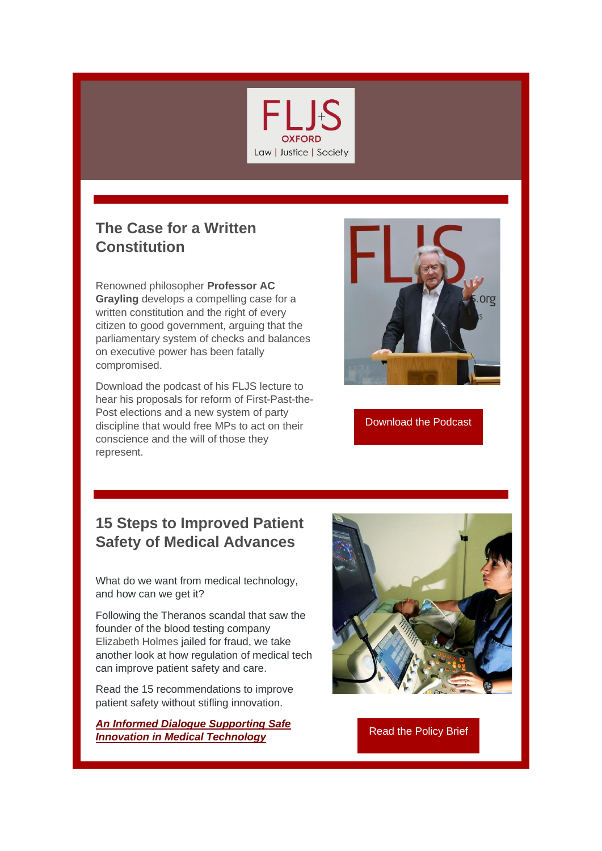

## **The Case for a Written Constitution**

Renowned philosopher **Professor AC Grayling** develops a compelling case for a written constitution and the right of every citizen to good government, arguing that the parliamentary system of checks and balances on executive power has been fatally compromised.

Download the podcast of his FLJS lecture to hear his proposals for reform of First-Past-the-Post elections and a new system of party discipline that would free MPs to act on their conscience and the will of those they represent.



[Download the Podcast](https://r20.rs6.net/tn.jsp?f=001itEymRGSzd7oO3MMmyMSNO36pGeDtej0pbwBJ3yPjRk3CtqJZmP_vRCoSvoytTR5YOfvvc-I8UsFlGbfA1_OanbmLkcy7H6UZtrvuNT4o8EvIYDmgLAQ2J3w68K_XMcgdSNjN7kums-HjXoggyc8Wey-uW7JNXG7SxTPBEhg1ag=&c=J8BRA2bMVvbkeuuVqG3wLt8RDL4oBbCuKzACJC5iRJ-C8sybFD62kg==&ch=AECE6PfLPDBmNXvEualtsfI7D5mr_FGdXcupt72KiVy0Kv9F5nreKA==)

## **15 Steps to Improved Patient Safety of Medical Advances**

What do we want from medical technology, and how can we get it?

Following the Theranos scandal that saw the founder of the blood testing company Elizabeth Holmes jailed for fraud, we take another look at how regulation of medical tech can improve patient safety and care.

Read the 15 recommendations to improve patient safety without stifling innovation.

*[An Informed Dialogue Supporting Safe](https://r20.rs6.net/tn.jsp?f=001itEymRGSzd7oO3MMmyMSNO36pGeDtej0pbwBJ3yPjRk3CtqJZmP_vRCoSvoytTR5RjPBBI-XcX3rESUHGDnUKaq6YqIc4WlQg9t8NrM16PMY-TIPyBnRNi7_iQFIOKDZT9kyLetAPLRzfvKzVwLPSdmZ5n4XX_fEeSm9U4PlREbtXQEhclRePdc9geXO49hnCzpWawXWD_eEM07XOHzBNolmRGjQjcGc&c=J8BRA2bMVvbkeuuVqG3wLt8RDL4oBbCuKzACJC5iRJ-C8sybFD62kg==&ch=AECE6PfLPDBmNXvEualtsfI7D5mr_FGdXcupt72KiVy0Kv9F5nreKA==)*  **Information** *[Innovation in Medical Technology](https://r20.rs6.net/tn.jsp?f=001itEymRGSzd7oO3MMmyMSNO36pGeDtej0pbwBJ3yPjRk3CtqJZmP_vRCoSvoytTR5RjPBBI-XcX3rESUHGDnUKaq6YqIc4WlQg9t8NrM16PMY-TIPyBnRNi7_iQFIOKDZT9kyLetAPLRzfvKzVwLPSdmZ5n4XX_fEeSm9U4PlREbtXQEhclRePdc9geXO49hnCzpWawXWD_eEM07XOHzBNolmRGjQjcGc&c=J8BRA2bMVvbkeuuVqG3wLt8RDL4oBbCuKzACJC5iRJ-C8sybFD62kg==&ch=AECE6PfLPDBmNXvEualtsfI7D5mr_FGdXcupt72KiVy0Kv9F5nreKA==)* [Read the Policy Brief](https://r20.rs6.net/tn.jsp?f=001itEymRGSzd7oO3MMmyMSNO36pGeDtej0pbwBJ3yPjRk3CtqJZmP_vRCoSvoytTR5RjPBBI-XcX3rESUHGDnUKaq6YqIc4WlQg9t8NrM16PMY-TIPyBnRNi7_iQFIOKDZT9kyLetAPLRzfvKzVwLPSdmZ5n4XX_fEeSm9U4PlREbtXQEhclRePdc9geXO49hnCzpWawXWD_eEM07XOHzBNolmRGjQjcGc&c=J8BRA2bMVvbkeuuVqG3wLt8RDL4oBbCuKzACJC5iRJ-C8sybFD62kg==&ch=AECE6PfLPDBmNXvEualtsfI7D5mr_FGdXcupt72KiVy0Kv9F5nreKA==)